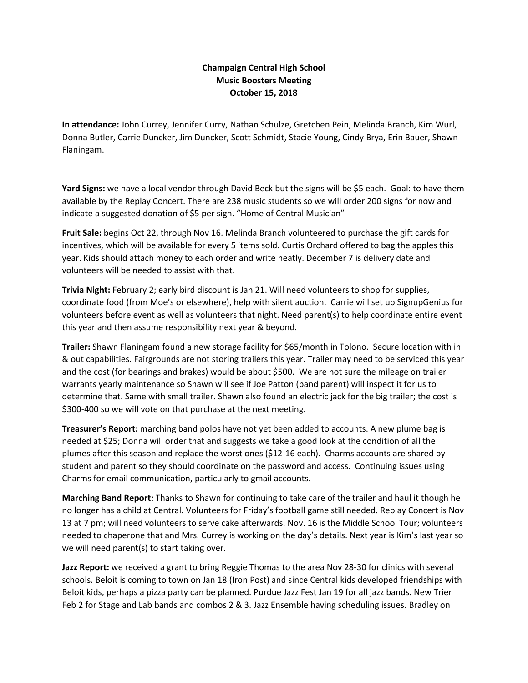## **Champaign Central High School Music Boosters Meeting October 15, 2018**

**In attendance:** John Currey, Jennifer Curry, Nathan Schulze, Gretchen Pein, Melinda Branch, Kim Wurl, Donna Butler, Carrie Duncker, Jim Duncker, Scott Schmidt, Stacie Young, Cindy Brya, Erin Bauer, Shawn Flaningam.

**Yard Signs:** we have a local vendor through David Beck but the signs will be \$5 each. Goal: to have them available by the Replay Concert. There are 238 music students so we will order 200 signs for now and indicate a suggested donation of \$5 per sign. "Home of Central Musician"

**Fruit Sale:** begins Oct 22, through Nov 16. Melinda Branch volunteered to purchase the gift cards for incentives, which will be available for every 5 items sold. Curtis Orchard offered to bag the apples this year. Kids should attach money to each order and write neatly. December 7 is delivery date and volunteers will be needed to assist with that.

**Trivia Night:** February 2; early bird discount is Jan 21. Will need volunteers to shop for supplies, coordinate food (from Moe's or elsewhere), help with silent auction. Carrie will set up SignupGenius for volunteers before event as well as volunteers that night. Need parent(s) to help coordinate entire event this year and then assume responsibility next year & beyond.

**Trailer:** Shawn Flaningam found a new storage facility for \$65/month in Tolono. Secure location with in & out capabilities. Fairgrounds are not storing trailers this year. Trailer may need to be serviced this year and the cost (for bearings and brakes) would be about \$500. We are not sure the mileage on trailer warrants yearly maintenance so Shawn will see if Joe Patton (band parent) will inspect it for us to determine that. Same with small trailer. Shawn also found an electric jack for the big trailer; the cost is \$300-400 so we will vote on that purchase at the next meeting.

**Treasurer's Report:** marching band polos have not yet been added to accounts. A new plume bag is needed at \$25; Donna will order that and suggests we take a good look at the condition of all the plumes after this season and replace the worst ones (\$12-16 each). Charms accounts are shared by student and parent so they should coordinate on the password and access. Continuing issues using Charms for email communication, particularly to gmail accounts.

**Marching Band Report:** Thanks to Shawn for continuing to take care of the trailer and haul it though he no longer has a child at Central. Volunteers for Friday's football game still needed. Replay Concert is Nov 13 at 7 pm; will need volunteers to serve cake afterwards. Nov. 16 is the Middle School Tour; volunteers needed to chaperone that and Mrs. Currey is working on the day's details. Next year is Kim's last year so we will need parent(s) to start taking over.

**Jazz Report:** we received a grant to bring Reggie Thomas to the area Nov 28-30 for clinics with several schools. Beloit is coming to town on Jan 18 (Iron Post) and since Central kids developed friendships with Beloit kids, perhaps a pizza party can be planned. Purdue Jazz Fest Jan 19 for all jazz bands. New Trier Feb 2 for Stage and Lab bands and combos 2 & 3. Jazz Ensemble having scheduling issues. Bradley on